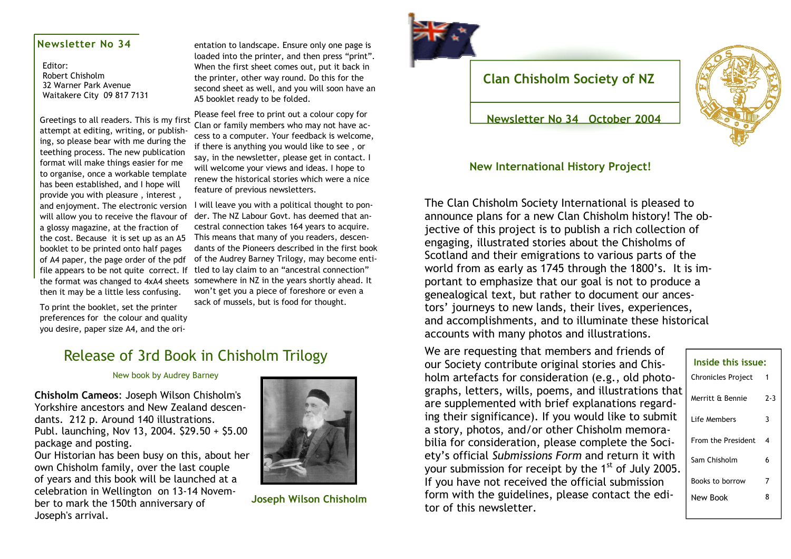### **Newsletter No 34**

Editor: Robert Chisholm 32 Warner Park Avenue Waitakere City 09 817 7131

attempt at editing, writing, or publishing, so please bear with me during the teething process. The new publication format will make things easier for me to organise, once a workable template has been established, and I hope will provide you with pleasure , interest , will allow you to receive the flavour of a glossy magazine, at the fraction of the cost. Because it is set up as an A5 booklet to be printed onto half pages of A4 paper, the page order of the pdf file appears to be not quite correct. If the format was changed to 4xA4 sheets then it may be a little less confusing.

To print the booklet, set the printer preferences for the colour and quality you desire, paper size A4, and the ori-

entation to landscape. Ensure only one page is<br>loaded into the printer, and then press "print".<br>When the first sheet comes out, put it back in<br>the printer, other way round. Do this for the<br>second sheet as well, and you wil

Greetings to all readers. This is my first Please feel free to print out a colour copy for Greetings to all readers. This is my first Clan or family members who may not have access to a computer. Your feedback is welcome,<br>if there is anything you would like to see, or<br>say, in the newsletter, please get in contact. I<br>will welcome your views and ideas. I hope to<br>renew the historical stories which

and enjoyment. The electronic version I will leave you with a political thought to ponder. The NZ Labour Govt. has deemed that an cestral connection takes 164 years to acquire. This means that many of you readers, descen dants of the Pioneers described in the first book of the Audrey Barney Trilogy, may become enti tled to lay claim to an "ancestral connection" somewhere in NZ in the years shortly ahead. It won't get you a piece of foreshore or even a sack of mussels, but is food for thought.

### Release of 3rd Book in Chisholm Trilogy

New book by Audrey Barney

**Chisholm Cameos**: Joseph Wilson Chisholm's Yorkshire ancestors and New Zealand descendants. 212 p. Around 140 illustrations. Publ. launching, Nov 13, 2004. \$29.50 + \$5.00 package and posting.

Our Historian has been busy on this, about her own Chisholm family, over the last couple of years and this book will be launched at a celebration in Wellington on 13-14 November to mark the 150th anniversary of Joseph's arrival.



**Joseph Wilson Chisholm**



### **Clan Chisholm Society of NZ**

**Newsletter No 34 October 2004** 

#### **New International History Project!**

The Clan Chisholm Society International is pleased to announce plans for a new Clan Chisholm history! The objective of this project is to publish a rich collection of engaging, illustrated stories about the Chisholms of Scotland and their emigrations to various parts of the world from as early as 1745 through the 1800's. It is important to emphasize that our goal is not to produce a genealogical text, but rather to document our ancestors' journeys to new lands, their lives, experiences, and accomplishments, and to illuminate these historical accounts with many photos and illustrations.

We are requesting that members and friends of our Society contribute original stories and Chisholm artefacts for consideration (e.g., old photographs, letters, wills, poems, and illustrations that are supplemented with brief explanations regarding their significance). If you would like to submit a story, photos, and/or other Chisholm memorabilia for consideration, please complete the Society's official *Submissions Form* and return it with your submission for receipt by the 1<sup>st</sup> of July 2005 If you have not received the official submission form with the guidelines, please contact the editor of this newsletter.

|    | Inside this issue:        |     |
|----|---------------------------|-----|
|    | <b>Chronicles Project</b> |     |
| at | Merritt & Bennie          | 2-3 |
|    | Life Members              | 3   |
|    | From the President        | 4   |
|    | Sam Chisholm              | 6   |
|    | Books to borrow           | 7   |
|    | New Book                  | 8   |
|    |                           |     |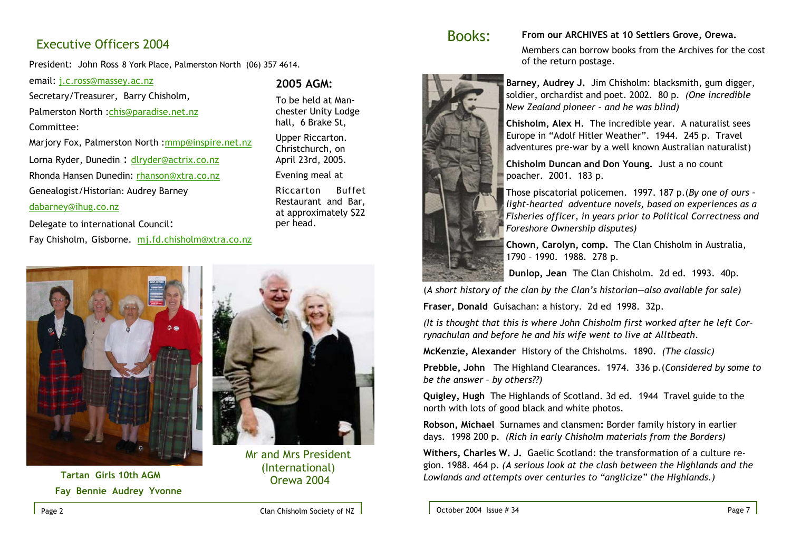### Executive Officers 2004

President: John Ross 8 York Place, Palmerston North (06) 357 4614.

email: j.c.ross@massey.ac.nz

Secretary/Treasurer, Barry Chisholm,

Palmerston North :chis@paradise.net.nz

Committee:

Marjory Fox, Palmerston North :mmp@inspire.net.nz Lorna Ryder, Dunedin : dlryder@actrix.co.nz

Rhonda Hansen Dunedin: rhanson@xtra.co.nz

Genealogist/Historian: Audrey Barney

#### dabarney@ihug.co.nz

#### Delegate to international Council:

Fay Chisholm, Gisborne. mj.fd.chisholm@xtra.co.nz



 **Tartan Girls 10th AGM Fay Bennie Audrey Yvonne** 

per head.

**2005 AGM:** 

To be held at Manchester Unity Lodge hall, 6 Brake St, Upper Riccarton. Christchurch, on April 23rd, 2005. Evening meal at Riccarton Buffet Restaurant and Bar, at approximately \$22

Mr and Mrs President(International) Orewa 2004



### Books: **From our ARCHIVES at 10 Settlers Grove, Orewa.**

Members can borrow books from the Archives for the cost

**Barney, Audrey J.** Jim Chisholm: blacksmith, gum digger, soldier, orchardist and poet. 2002. 80 p. *(One incredible New Zealand pioneer – and he was blind)*

**Chisholm, Alex H.** The incredible year. A naturalist sees Europe in "Adolf Hitler Weather". 1944. 245 p. Travel adventures pre-war by a well known Australian naturalist)

**Chisholm Duncan and Don Young.** Just a no count poacher. 2001. 183 p.

Those piscatorial policemen. 1997. 187 p.(*By one of ours – light-hearted adventure novels, based on experiences as a Fisheries officer, in years prior to Political Correctness and Foreshore Ownership disputes)*

**Chown, Carolyn, comp.** The Clan Chisholm in Australia, 1790 – 1990. 1988. 278 p.

 **Dunlop, Jean** The Clan Chisholm. 2d ed. 1993. 40p.

(*A short history of the clan by the Clan's historian—also available for sale)*

**Fraser, Donald** Guisachan: a history. 2d ed 1998. 32p.

*(It is thought that this is where John Chisholm first worked after he left Corrynachulan and before he and his wife went to live at Alltbeath*.

**McKenzie, Alexander** History of the Chisholms. 1890. *(The classic)*

of the return postage.

**Prebble, John** The Highland Clearances. 1974. 336 p.(*Considered by some to be the answer – by others??)* 

**Quigley, Hugh** The Highlands of Scotland. 3d ed. 1944 Travel guide to the north with lots of good black and white photos.

**Robson, Michael** Surnames and clansmen**:** Border family history in earlier days. 1998 200 p. *(Rich in early Chisholm materials from the Borders)* 

**Withers, Charles W. J.** Gaelic Scotland: the transformation of a culture region. 1988. 464 p. *(A serious look at the clash between the Highlands and the Lowlands and attempts over centuries to "anglicize" the Highlands.)*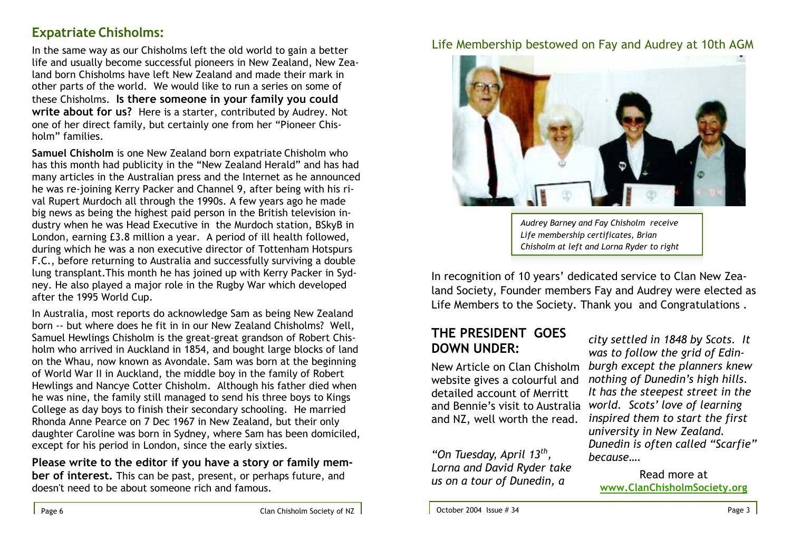# **Expatriate Chisholms:**

In the same way as our Chisholms left the old world to gain a better life and usually become successful pioneers in New Zealand, New Zealand born Chisholms have left New Zealand and made their mark in other parts of the world. We would like to run a series on some of these Chisholms. **Is there someone in your family you could write about for us?** Here is a starter, contributed by Audrey. Not one of her direct family, but certainly one from her "Pioneer Chisholm" families.

**Samuel Chisholm** is one New Zealand born expatriate Chisholm who has this month had publicity in the "New Zealand Herald" and has had many articles in the Australian press and the Internet as he announced he was re-joining Kerry Packer and Channel 9, after being with his rival Rupert Murdoch all through the 1990s. A few years ago he made big news as being the highest paid person in the British television industry when he was Head Executive in the Murdoch station, BSkyB in London, earning £3.8 million a year. A period of ill health followed, during which he was a non executive director of Tottenham Hotspurs F.C., before returning to Australia and successfully surviving a double lung transplant.This month he has joined up with Kerry Packer in Sydney. He also played a major role in the Rugby War which developed after the 1995 World Cup.

In Australia, most reports do acknowledge Sam as being New Zealand born -- but where does he fit in in our New Zealand Chisholms? Well, Samuel Hewlings Chisholm is the great-great grandson of Robert Chisholm who arrived in Auckland in 1854, and bought large blocks of land on the Whau, now known as Avondale. Sam was born at the beginning of World War II in Auckland, the middle boy in the family of Robert Hewlings and Nancye Cotter Chisholm. Although his father died when he was nine, the family still managed to send his three boys to Kings College as day boys to finish their secondary schooling. He married Rhonda Anne Pearce on 7 Dec 1967 in New Zealand, but their only daughter Caroline was born in Sydney, where Sam has been domiciled, except for his period in London, since the early sixties.

**Please write to the editor if you have a story or family member of interest.** This can be past, present, or perhaps future, and doesn't need to be about someone rich and famous.

Life Membership bestowed on Fay and Audrey at 10th AGM



*Audrey Barney and Fay Chisholm receive Life membership certificates, Brian Chisholm at left and Lorna Ryder to right* 

In recognition of 10 years' dedicated service to Clan New Zealand Society, Founder members Fay and Audrey were elected as Life Members to the Society. Thank you and Congratulations .

# **THE PRESIDENT GOES DOWN UNDER:**

New Article on Clan Chisholm website gives a colourful and detailed account of Merritt and Bennie's visit to Australia and NZ, well worth the read.

*"On Tuesday, April 13th, Lorna and David Ryder take us on a tour of Dunedin, a* 

*city settled in 1848 by Scots. It was to follow the grid of Edinburgh except the planners knew nothing of Dunedin's high hills. It has the steepest street in the world. Scots' love of learning inspired them to start the first university in New Zealand. Dunedin is often called "Scarfie" because….* 

Read more at **www.ClanChisholmSociety.org**